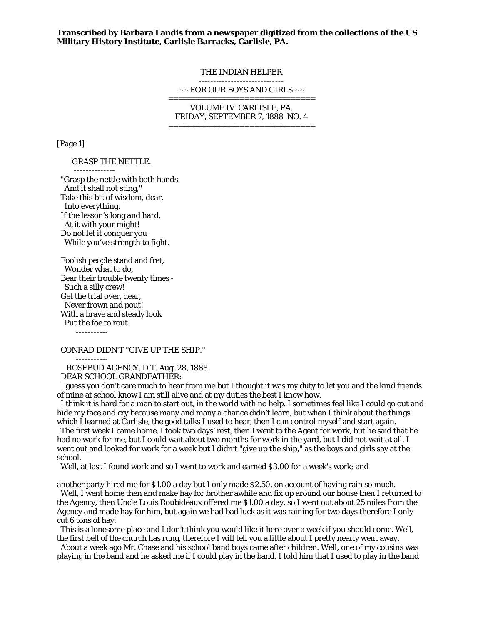**Transcribed by Barbara Landis from a newspaper digitized from the collections of the US Military History Institute, Carlisle Barracks, Carlisle, PA.** 

#### THE INDIAN HELPER -----------------------------

 $\sim$  FOR OUR BOYS AND GIRLS  $\sim$ 

=============================

VOLUME IV CARLISLE, PA. FRIDAY, SEPTEMBER 7, 1888 NO. 4 =============================

[Page 1]

## GRASP THE NETTLE.

--------------

 "Grasp the nettle with both hands, And it shall not sting," Take this bit of wisdom, dear, Into everything. If the lesson's long and hard, At it with your might! Do not let it conquer you While you've strength to fight.

 Foolish people stand and fret, Wonder what to do, Bear their trouble twenty times - Such a silly crew! Get the trial over, dear, Never frown and pout! With a brave and steady look Put the foe to rout

-----------

## CONRAD DIDN'T "GIVE UP THE SHIP."

 ----------- ROSEBUD AGENCY, D.T. Aug. 28, 1888.

DEAR SCHOOL GRANDFATHER:

 I guess you don't care much to hear from me but I thought it was my duty to let you and the kind friends of mine at school know I am still alive and at my duties the best I know how.

 I think it is hard for a man to start out, in the world with no help. I sometimes feel like I could go out and hide my face and cry because many and many a chance didn't learn, but when I think about the things which I learned at Carlisle, the good talks I used to hear, then I can control myself and start again.

 The first week I came home, I took two days' rest, then I went to the Agent for work, but he said that he had no work for me, but I could wait about two months for work in the yard, but I did not wait at all. I went out and looked for work for a week but I didn't "give up the ship," as the boys and girls say at the school.

Well, at last I found work and so I went to work and earned \$3.00 for a week's work; and

another party hired me for \$1.00 a day but I only made \$2.50, on account of having rain so much. Well, I went home then and make hay for brother awhile and fix up around our house then I returned to

the Agency, then Uncle Louis Roubideaux offered me \$1.00 a day, so I went out about 25 miles from the Agency and made hay for him, but again we had bad luck as it was raining for two days therefore I only cut 6 tons of hay.

 This is a lonesome place and I don't think you would like it here over a week if you should come. Well, the first bell of the church has rung, therefore I will tell you a little about I pretty nearly went away.

 About a week ago Mr. Chase and his school band boys came after children. Well, one of my cousins was playing in the band and he asked me if I could play in the band. I told him that I used to play in the band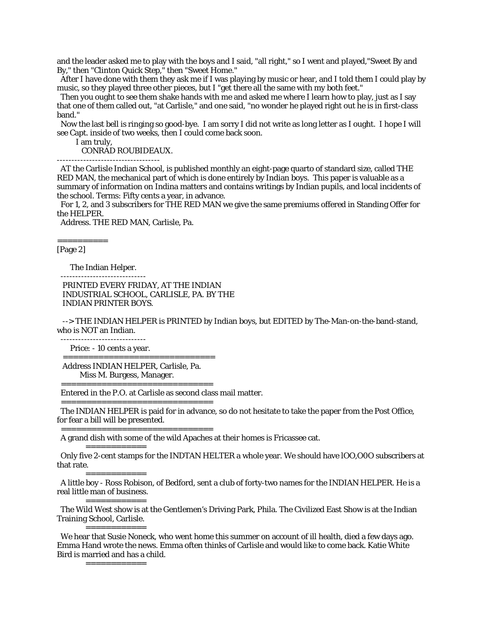and the leader asked me to play with the boys and I said, "all right," so I went and pIayed,"Sweet By and By," then "Clinton Quick Step," then "Sweet Home."

 After I have done with them they ask me if I was playing by music or hear, and I told them I could play by music, so they played three other pieces, but I "get there all the same with my both feet."

 Then you ought to see them shake hands with me and asked me where I learn how to play, just as I say that one of them called out, "at Carlisle," and one said, "no wonder he played right out he is in first-class band."

 Now the last bell is ringing so good-bye. I am sorry I did not write as long letter as I ought. I hope I will see Capt. inside of two weeks, then I could come back soon.

I am truly,

CONRAD ROUBIDEAUX.

-----------------------------------

 AT the Carlisle Indian School, is published monthly an eight-page quarto of standard size, called THE RED MAN, the mechanical part of which is done entirely by Indian boys. This paper is valuable as a summary of information on Indina matters and contains writings by Indian pupils, and local incidents of the school. Terms: Fifty cents a year, in advance.

 For 1, 2, and 3 subscribers for THE RED MAN we give the same premiums offered in Standing Offer for the HELPER.

Address. THE RED MAN, Carlisle, Pa.

[Page 2]

==========

The Indian Helper.

 PRINTED EVERY FRIDAY, AT THE INDIAN INDUSTRIAL SCHOOL, CARLISLE, PA. BY THE INDIAN PRINTER BOYS.

 --> THE INDIAN HELPER is PRINTED by Indian boys, but EDITED by The-Man-on-the-band-stand, who is NOT an Indian.

 ----------------------------- Price: - 10 cents a year.

==============================

 Address INDIAN HELPER, Carlisle, Pa. Miss M. Burgess, Manager.

==============================

Entered in the P.O. at Carlisle as second class mail matter.

 The INDIAN HELPER is paid for in advance, so do not hesitate to take the paper from the Post Office, for fear a bill will be presented.

==============================

==============================

A grand dish with some of the wild Apaches at their homes is Fricassee cat.

============ Only five 2-cent stamps for the INDTAN HELTER a whole year. We should have lOO,O0O subscribers at that rate.

============

 A little boy - Ross Robison, of Bedford, sent a club of forty-two names for the INDIAN HELPER. He is a real little man of business.

The Wild West show is at the Gentlemen's Driving Park, Phila. The Civilized East Show is at the Indian

Training School, Carlisle.

============

============ We hear that Susie Noneck, who went home this summer on account of ill health, died a few days ago. Emma Hand wrote the news. Emma often thinks of Carlisle and would like to come back. Katie White Bird is married and has a child.

============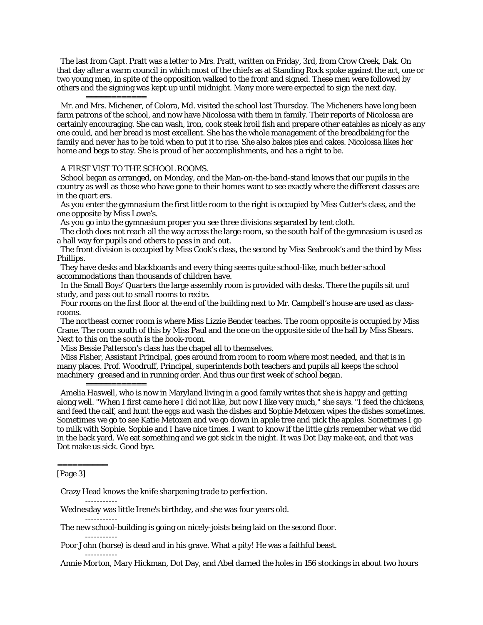The last from Capt. Pratt was a letter to Mrs. Pratt, written on Friday, 3rd, from Crow Creek, Dak. On that day after a warm council in which most of the chiefs as at Standing Rock spoke against the act, one or two young men, in spite of the opposition walked to the front and signed. These men were followed by others and the signing was kept up until midnight. Many more were expected to sign the next day.

============ Mr. and Mrs. Michener, of Colora, Md. visited the school last Thursday. The Micheners have long been farm patrons of the school, and now have Nicolossa with them in family. Their reports of Nicolossa are certainly encouraging. She can wash, iron, cook steak broil fish and prepare other eatables as nicely as any one could, and her bread is most excellent. She has the whole management of the breadbaking for the family and never has to be told when to put it to rise. She also bakes pies and cakes. Nicolossa likes her home and begs to stay. She is proud of her accomplishments, and has a right to be.

# A FIRST VIST TO THE SCHOOL ROOMS.

 School began as arranged, on Monday, and the Man-on-the-band-stand knows that our pupils in the country as well as those who have gone to their homes want to see exactly where the different classes are in the quart ers.

 As you enter the gymnasium the first little room to the right is occupied by Miss Cutter's class, and the one opposite by Miss Lowe's.

As you go into the gymnasium proper you see three divisions separated by tent cloth.

 The cloth does not reach all the way across the large room, so the south half of the gymnasium is used as a hall way for pupils and others to pass in and out.

 The front division is occupied by Miss Cook's class, the second by Miss Seabrook's and the third by Miss Phillips.

 They have desks and blackboards and every thing seems quite school-like, much better school accommodations than thousands of children have.

 In the Small Boys' Quarters the large assembly room is provided with desks. There the pupils sit und study, and pass out to small rooms to recite.

 Four rooms on the first floor at the end of the building next to Mr. Campbell's house are used as classrooms.

 The northeast corner room is where Miss Lizzie Bender teaches. The room opposite is occupied by Miss Crane. The room south of this by Miss Paul and the one on the opposite side of the hall by Miss Shears. Next to this on the south is the book-room.

Miss Bessie Patterson's class has the chapel all to themselves.

 Miss Fisher, Assistant Principal, goes around from room to room where most needed, and that is in many places. Prof. Woodruff, Principal, superintends both teachers and pupils all keeps the school machinery greased and in running order. And thus our first week of school began.

#### ============

 Amelia Haswell, who is now in Maryland living in a good family writes that she is happy and getting along well. "When I first came here I did not like, but now I like very much," she says. "I feed the chickens, and feed the calf, and hunt the eggs aud wash the dishes and Sophie Metoxen wipes the dishes sometimes. Sometimes we go to see Katie Metoxen and we go down in apple tree and pick the apples. Sometimes I go to milk with Sophie. Sophie and I have nice times. I want to know if the little girls remember what we did in the back yard. We eat something and we got sick in the night. It was Dot Day make eat, and that was Dot make us sick. Good bye.

# ==========

-----------

-----------

-----------

-----------

[Page 3]

Crazy Head knows the knife sharpening trade to perfection.

Wednesday was little Irene's birthday, and she was four years old.

The new school-building is going on nicely-joists being laid on the second floor.

Poor John (horse) is dead and in his grave. What a pity! He was a faithful beast.

Annie Morton, Mary Hickman, Dot Day, and Abel darned the holes in 156 stockings in about two hours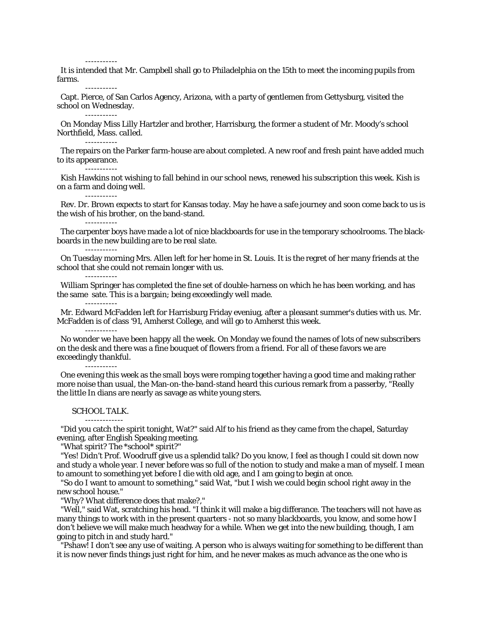-----------

-----------

-----------

-----------

 It is intended that Mr. Campbell shall go to Philadelphia on the 15th to meet the incoming pupils from farms.

 Capt. Pierce, of San Carlos Agency, Arizona, with a party of gentlemen from Gettysburg, visited the school on Wednesday. -----------

 On Monday Miss Lilly Hartzler and brother, Harrisburg, the former a student of Mr. Moody's school Northfield, Mass. caIled.

 The repairs on the Parker farm-house are about completed. A new roof and fresh paint have added much to its appearance.

 Kish Hawkins not wishing to fall behind in our school news, renewed his subscription this week. Kish is on a farm and doing well.

 Rev. Dr. Brown expects to start for Kansas today. May he have a safe journey and soon come back to us is the wish of his brother, on the band-stand.

 The carpenter boys have made a lot of nice blackboards for use in the temporary schoolrooms. The blackboards in the new building are to be real slate.

 On Tuesday morning Mrs. Allen left for her home in St. Louis. It is the regret of her many friends at the school that she could not remain longer with us.

-----------

-----------

 William Springer has completed the fine set of double-harness on which he has been working, and has the same sate. This is a bargain; being exceedingly well made.

-----------

-----------

 Mr. Edward McFadden left for Harrisburg Friday eveniug, after a pleasant summer's duties with us. Mr. McFadden is of class '91, Amherst College, and will go to Amherst this week.

 No wonder we have been happy all the week. On Monday we found the names of lots of new subscribers on the desk and there was a fine bouquet of flowers from a friend. For all of these favors we are exceedingly thankful.

----------- One evening this week as the small boys were romping together having a good time and making rather more noise than usual, the Man-on-the-band-stand heard this curious remark from a passerby, "Really the little In dians are nearly as savage as white young sters.

#### SCHOOL TALK. -------------

 "Did you catch the spirit tonight, Wat?" said Alf to his friend as they came from the chapel, Saturday evening, after English Speaking meeting.

"What spirit? The \*school\* spirit?"

 "Yes! Didn't Prof. Woodruff give us a splendid talk? Do you know, I feel as though I could sit down now and study a whole year. I never before was so full of the notion to study and make a man of myself. I mean to amount to something yet before I die with old age, and I am going to begin at once.

 "So do I want to amount to something," said Wat, "but I wish we could begin school right away in the new school house."

"Why? What difference does that make?,"

 "Well," said Wat, scratching his head. "I think it will make a big differance. The teachers will not have as many things to work with in the present quarters - not so many blackboards, you know, and some how I don't believe we will make much headway for a while. When we get into the new building, though, I am going to pitch in and study hard."

 "Pshaw! I don't see any use of waiting. A person who is always waiting for something to be different than it is now never finds things just right for him, and he never makes as much advance as the one who is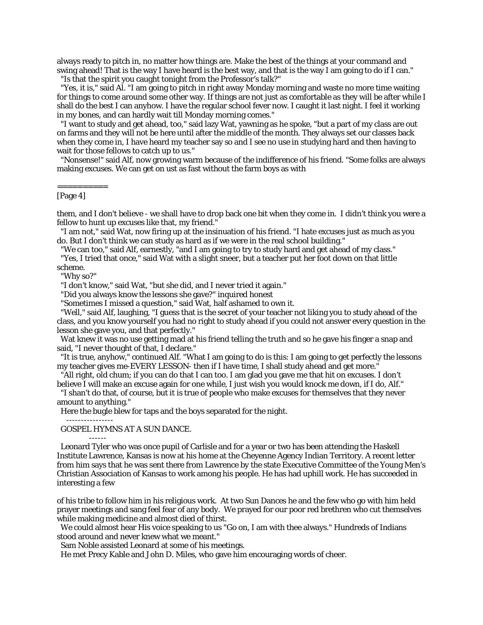always ready to pitch in, no matter how things are. Make the best of the things at your command and swing ahead! That is the way I have heard is the best way, and that is the way I am going to do if I can." "Is that the spirit you caught tonight from the Professor's talk?"

 "Yes, it is," said Al. "I am going to pitch in right away Monday morning and waste no more time waiting for things to come around some other way. If things are not just as comfortable as they will be after while I

shall do the best I can anyhow. I have the regular school fever now. I caught it last night. I feel it working in my bones, and can hardly wait till Monday morning comes."

 "I want to study and get ahead, too," said lazy Wat, yawning as he spoke, "but a part of my class are out on farms and they will not be here until after the middle of the month. They always set our classes back when they come in, I have heard my teacher say so and I see no use in studying hard and then having to wait for those fellows to catch up to us."

 "Nonsense!" said Alf, now growing warm because of the indifference of his friend. "Some folks are always making excuses. We can get on ust as fast without the farm boys as with

### ========== [Page 4]

them, and I don't believe - we shall have to drop back one bit when they come in. I didn't think you were a fellow to hunt up excuses like that, my friend."

 "I am not," said Wat, now firing up at the insinuation of his friend. "I hate excuses just as much as you do. But I don't think we can study as hard as if we were in the real school building."

"We can too," said Alf, earnestly, "and I am going to try to study hard and get ahead of my class."

 "Yes, I tried that once," said Wat with a slight sneer, but a teacher put her foot down on that little scheme.

"Why so?"

"I don't know," said Wat, "but she did, and I never tried it again."

"Did you always know the lessons she gave?" inquired honest

"Sometimes I missed a question," said Wat, half ashamed to own it.

 "Well," said Alf, laughing, "I guess that is the secret of your teacher not liking you to study ahead of the class, and you know yourself you had no right to study ahead if you could not answer every question in the lesson she gave you, and that perfectly."

 Wat knew it was no use getting mad at his friend telling the truth and so he gave his finger a snap and said, "I never thought of that, I declare."

 "It is true, anyhow," continued Alf. "What I am going to do is this: I am going to get perfectly the lessons my teacher gives me-EVERY LESSON- then if I have time, I shall study ahead and get more."

 "All right, old chum; if you can do that I can too. I am glad you gave me that hit on excuses. I don't believe I will make an excuse again for one while, I just wish you would knock me down, if I do, Alf."

 "I shan't do that, of course, but it is true of people who make excuses for themselves that they never amount to anything."

Here the bugle blew for taps and the boys separated for the night.

----------------

------

# GOSPEL HYMNS AT A SUN DANCE.

 Leonard Tyler who was once pupil of Carlisle and for a year or two has been attending the Haskell Institute Lawrence, Kansas is now at his home at the Cheyenne Agency Indian Territory. A recent letter from him says that he was sent there from Lawrence by the state Executive Committee of the Young Men's Christian Association of Kansas to work among his people. He has had uphill work. He has succeeded in interesting a few

of his tribe to follow him in his religious work. At two Sun Dances he and the few who go with him held prayer meetings and sang feel fear of any body. We prayed for our poor red brethren who cut themselves while making medicine and almost died of thirst.

 We could almost hear His voice speaking to us "Go on, I am with thee always." Hundreds of Indians stood around and never knew what we meant."

Sam Noble assisted Leonard at some of his meetings.

He met Precy Kable and John D. Miles, who gave him encouraging words of cheer.